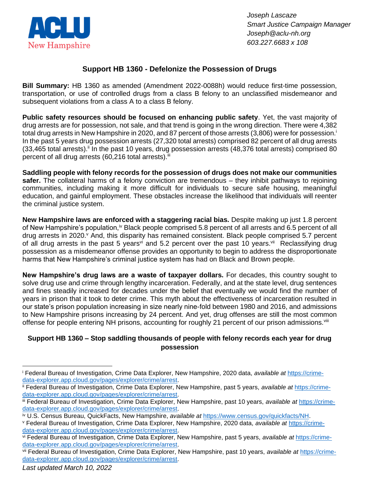

*Joseph Lascaze Smart Justice Campaign Manager Joseph@aclu-nh.org 603.227.6683 x 108*

## **Support HB 1360 - Defelonize the Possession of Drugs**

**Bill Summary:** HB 1360 as amended (Amendment 2022-0088h) would reduce first-time possession, transportation, or use of controlled drugs from a class B felony to an unclassified misdemeanor and subsequent violations from a class A to a class B felony.

**Public safety resources should be focused on enhancing public safety**. Yet, the vast majority of drug arrests are for possession, not sale, and that trend is going in the wrong direction. There were 4,382 total drug arrests in New Hampshire in 2020, and 87 percent of those arrests (3,806) were for possession.<sup>i</sup> In the past 5 years drug possession arrests (27,320 total arrests) comprised 82 percent of all drug arrests  $(33,465 \text{ total arrests})$ . In the past 10 years, drug possession arrests  $(48,376 \text{ total arrests})$  comprised 80 percent of all drug arrests  $(60,216 \text{ total arrests}).$ 

**Saddling people with felony records for the possession of drugs does not make our communities safer.** The collateral harms of a felony conviction are tremendous – they inhibit pathways to rejoining communities, including making it more difficult for individuals to secure safe housing, meaningful education, and gainful employment. These obstacles increase the likelihood that individuals will reenter the criminal justice system.

**New Hampshire laws are enforced with a staggering racial bias.** Despite making up just 1.8 percent of New Hampshire's population,<sup>iv</sup> Black people comprised 5.8 percent of all arrests and 6.5 percent of all drug arrests in 2020. And, this disparity has remained consistent. Black people comprised 5.7 percent of all drug arrests in the past 5 years<sup>vi</sup> and 5.2 percent over the past 10 years.<sup>vii</sup> Reclassifying drug possession as a misdemeanor offense provides an opportunity to begin to address the disproportionate harms that New Hampshire's criminal justice system has had on Black and Brown people.

**New Hampshire's drug laws are a waste of taxpayer dollars.** For decades, this country sought to solve drug use and crime through lengthy incarceration. Federally, and at the state level, drug sentences and fines steadily increased for decades under the belief that eventually we would find the number of years in prison that it took to deter crime. This myth about the effectiveness of incarceration resulted in our state's prison population increasing in size nearly nine-fold between 1980 and 2016, and admissions to New Hampshire prisons increasing by 24 percent. And yet, drug offenses are still the most common offense for people entering NH prisons, accounting for roughly 21 percent of our prison admissions. Vili

## **Support HB 1360 – Stop saddling thousands of people with felony records each year for drug possession**

<sup>i</sup> Federal Bureau of Investigation, Crime Data Explorer, New Hampshire, 2020 data, *available at* [https://crime](https://crime-data-explorer.app.cloud.gov/pages/explorer/crime/arrest)[data-explorer.app.cloud.gov/pages/explorer/crime/arrest.](https://crime-data-explorer.app.cloud.gov/pages/explorer/crime/arrest)

ii Federal Bureau of Investigation, Crime Data Explorer, New Hampshire, past 5 years, *available at* [https://crime](https://crime-data-explorer.app.cloud.gov/pages/explorer/crime/arrest)[data-explorer.app.cloud.gov/pages/explorer/crime/arrest.](https://crime-data-explorer.app.cloud.gov/pages/explorer/crime/arrest)

iii Federal Bureau of Investigation, Crime Data Explorer, New Hampshire, past 10 years, *available at* [https://crime](https://crime-data-explorer.app.cloud.gov/pages/explorer/crime/arrest)[data-explorer.app.cloud.gov/pages/explorer/crime/arrest.](https://crime-data-explorer.app.cloud.gov/pages/explorer/crime/arrest)

iv U.S. Census Bureau, QuickFacts, New Hampshire, *available at* [https://www.census.gov/quickfacts/NH.](https://www.census.gov/quickfacts/NH)

<sup>v</sup> Federal Bureau of Investigation, Crime Data Explorer, New Hampshire, 2020 data, *available at* [https://crime](https://crime-data-explorer.app.cloud.gov/pages/explorer/crime/arrest)[data-explorer.app.cloud.gov/pages/explorer/crime/arrest.](https://crime-data-explorer.app.cloud.gov/pages/explorer/crime/arrest)

vi Federal Bureau of Investigation, Crime Data Explorer, New Hampshire, past 5 years, *available at* [https://crime](https://crime-data-explorer.app.cloud.gov/pages/explorer/crime/arrest)[data-explorer.app.cloud.gov/pages/explorer/crime/arrest.](https://crime-data-explorer.app.cloud.gov/pages/explorer/crime/arrest)

vii Federal Bureau of Investigation, Crime Data Explorer, New Hampshire, past 10 years, *available at* [https://crime](https://crime-data-explorer.app.cloud.gov/pages/explorer/crime/arrest)[data-explorer.app.cloud.gov/pages/explorer/crime/arrest.](https://crime-data-explorer.app.cloud.gov/pages/explorer/crime/arrest)